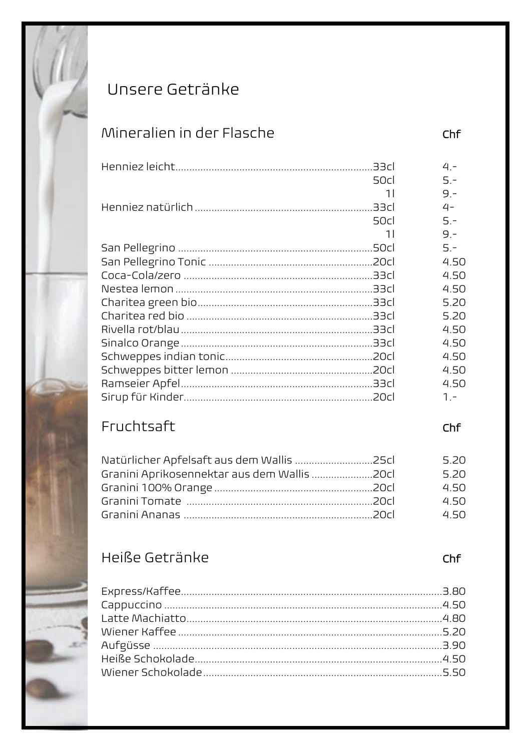

# Unsere Getränke

## Mineralien in der Flasche

|      | $4 -$       |  |
|------|-------------|--|
| 50cl | $5 -$       |  |
|      | 11<br>$9 -$ |  |
|      | $4-$        |  |
| 50cl | $5 -$       |  |
|      | 11<br>$9 -$ |  |
|      | $5 -$       |  |
|      | 4.50        |  |
|      | 4.50        |  |
|      | 4.50        |  |
|      | 5.20        |  |
|      | 5.20        |  |
|      | 4.50        |  |
|      | 4.50        |  |
|      | 4.50        |  |
|      | 4.50        |  |
|      | 4.50        |  |
|      | $1 -$       |  |

# Fruchtsaft

| Natürlicher Apfelsaft aus dem Wallis 25cl   | 5.20 |
|---------------------------------------------|------|
| Granini Aprikosennektar aus dem Wallis 20cl | 5.20 |
|                                             | 450  |
|                                             | 450  |
|                                             | 450  |

## Heiße Getränke

 $Chf$ 

#### $Chf$

 $Chf$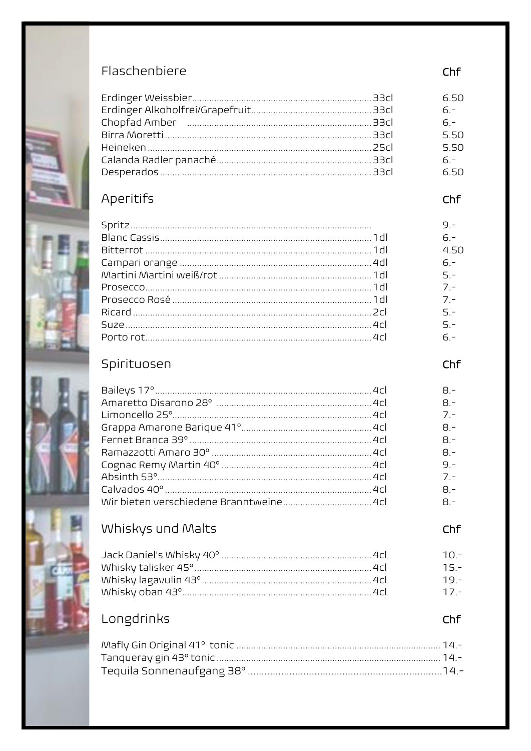

|                                                                                                                | 6.50   |
|----------------------------------------------------------------------------------------------------------------|--------|
|                                                                                                                | $6 -$  |
| Chopfad Amber (All Amber And American American American Amber American American American American American Ame | $6 -$  |
|                                                                                                                | 5.50   |
|                                                                                                                | 5.50   |
|                                                                                                                | $6. -$ |
|                                                                                                                | 6.50   |
|                                                                                                                |        |

### Aperitifs









### Whiskys und Malts

|  | $1 \cap$ |
|--|----------|
|  | 15       |
|  | 19       |
|  | 17       |

### Longdrinks

Chf

Chf

Chf

 $8 -$ 

 $8 -$ 

 $7 -$ 

 $B -$ 

 $8 -$ 

 $8 -$ 

 $9 -$ 

 $7 -$ 

 $8 -$ 

 $8 -$ 

Chf

Chf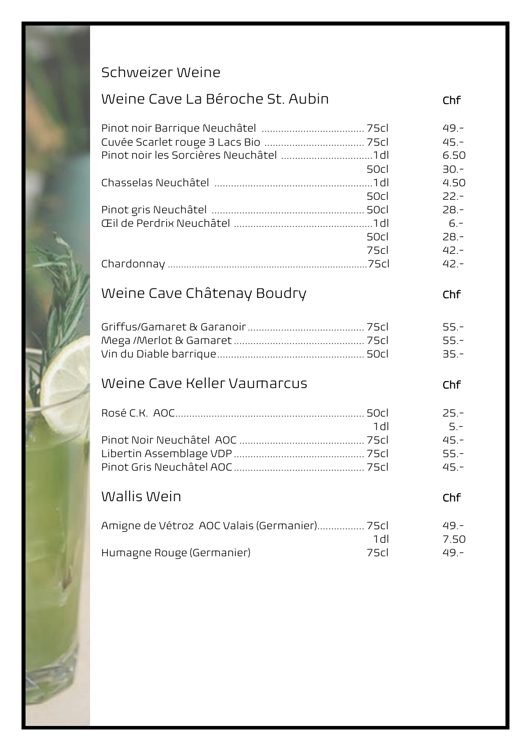## Schweizer Weine

| Weine Cave La Béroche St. Aubin                     | Chf                                 |
|-----------------------------------------------------|-------------------------------------|
| 50cl                                                | $49. -$<br>$45 -$<br>6.50<br>$30 -$ |
|                                                     | 4.50                                |
| 50cl<br>50cl                                        | $22 -$<br>$28 -$<br>$6 -$<br>$28 -$ |
| 75cl                                                | $42 -$<br>$42 -$                    |
| Weine Cave Châtenay Boudry                          | Chf                                 |
|                                                     | $55 -$<br>$55 -$<br>$35 -$          |
| Weine Cave Keller Vaumarcus                         | Chf                                 |
|                                                     | $25 -$                              |
| 1 <sub>d</sub>                                      | $5 -$<br>$45 -$<br>$55 -$<br>$45 -$ |
| Wallis Wein                                         | Chf                                 |
| Amigne de Vétroz AOC Valais (Germanier) 75cl<br>1dl | $49. -$<br>7.50                     |
| Humagne Rouge (Germanier)<br>75cl                   | $49. -$                             |